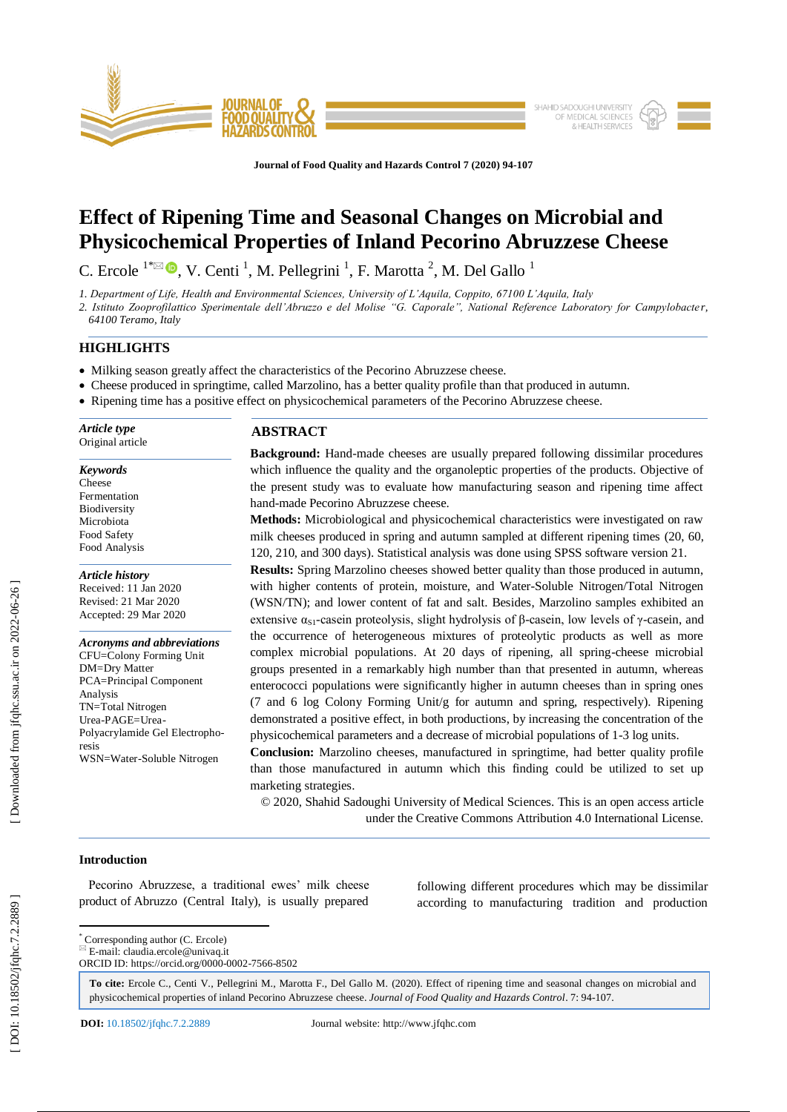

**Journal of Food Quality and Hazards Control 7 (2020) 94 -107**

# **Effect of Ripening Time and Seasonal Changes on Microbial and Physicochemical Properties of Inland Pecorino Abruzzese Cheese**

C. Ercole  $1^{\infty}$   $\bullet$ , V. Centi <sup>1</sup>, M. Pellegrini <sup>1</sup>, F. Marotta <sup>2</sup>, M. Del Gallo <sup>1</sup>

*1. Department of Life, Health and Environmental Sciences, University of L'Aquila, Coppito, 67100 L'Aquila, Italy*

*2. Istituto Zooprofilattico Sperimentale dell'Abruzzo e del Molise "G. Caporale", National Reference Laboratory for Campylobacte r,* 

*64100 Teramo, Italy* 

# **HIGHLIGHTS**

- Milking season greatly affect the characteristics of the Pecorino Abruzzese cheese.
- Cheese produced in springtime, called Marzolino, has a better quality profile than that produced in autumn.
- Ripening time has a positive effect on physicochemical parameters of the Pecorino Abruzzese cheese.

*Article type* Original article

#### *Keywords*

Cheese Fermentation Biodiversity Microbiota Food Safety Food Analysis

## *Article history*

Received: 11 Jan 2020 Revised: 21 Mar 2020 Accepted: 29 Mar 2020

## *Acronyms and abbreviations*

CFU=Colony Forming Unit DM=Dry Matter PCA=Principal Component Analysis TN=Total Nitrogen Urea -PAGE=Urea - Polyacrylamide Gel Electrophoresis WSN=Water -Soluble Nitrogen

# **ABSTRACT**

Background: Hand-made cheeses are usually prepared following dissimilar procedures which influence the quality and the organoleptic properties of the products. Objective of the present study was to evaluate how manufacturing season and ripening time affect hand -made Pecorino Abruzzese cheese.

**Methods:** Microbiological and physicochemical characteristics were investigated on raw milk cheeses produced in spring and autumn sampled at different ripening times (20, 60, 120, 210, and 300 days). Statistical analysis was done using SPSS software version 21.

**Results:** Spring Marzolino cheeses showed better quality than those produced in autumn, with higher contents of protein, moisture, and Water -Soluble Nitrogen/Total Nitrogen (WSN/TN); and lower content of fat and salt. Besides, Marzolino samples exhibited an extensive  $\alpha_{S1}$ -casein proteolysis, slight hydrolysis of  $\beta$ -casein, low levels of  $\gamma$ -casein, and the occurrence of heterogeneous mixtures of proteolytic products as well as more complex microbial populations. At 20 days of ripening, all spring -cheese microbial groups presented in a remarkably high number than that presented in autumn, whereas enterococci populations were significantly higher in autumn cheeses than in spring ones (7 and 6 log Colony Forming Unit/g for autumn and spring, respectively). Ripening demonstrated a positive effect, in both productions, by increasing the concentration of the physicochemical parameters and a decrease of microbial populations of 1 -3 log units.

**Conclusion:** Marzolino cheeses, manufactured in springtime, had better quality profile than those manufactured in autumn which this finding could be utilized to set up marketing strategies.

© 2020, Shahid Sadoughi University of Medical Sciences. This is an open access article under the Creative Commons Attribution 4.0 International License.

# **Introduction**

 Pecorino Abruzzese, a traditional ewes' milk cheese product of Abruzzo (Central Italy), is usually prepared following different procedures which may be dissimilar according to manufacturing tradition and production

 \* Corresponding author (C. Ercole)  $E$ -mail: claudia.ercole@univaq.it

ORCID ID: https://orcid.org/0000 -0002 -7566 -8502

**To cite:** Ercole C., Centi V., Pellegrini M., Marotta F., Del Gallo M. (2020). Effect of ripening time and seasonal changes on microbial and physicochemical properties of inland Pecorino Abruzzese cheese. *Journal of Food Quality and Hazards Control*. 7: 94-107.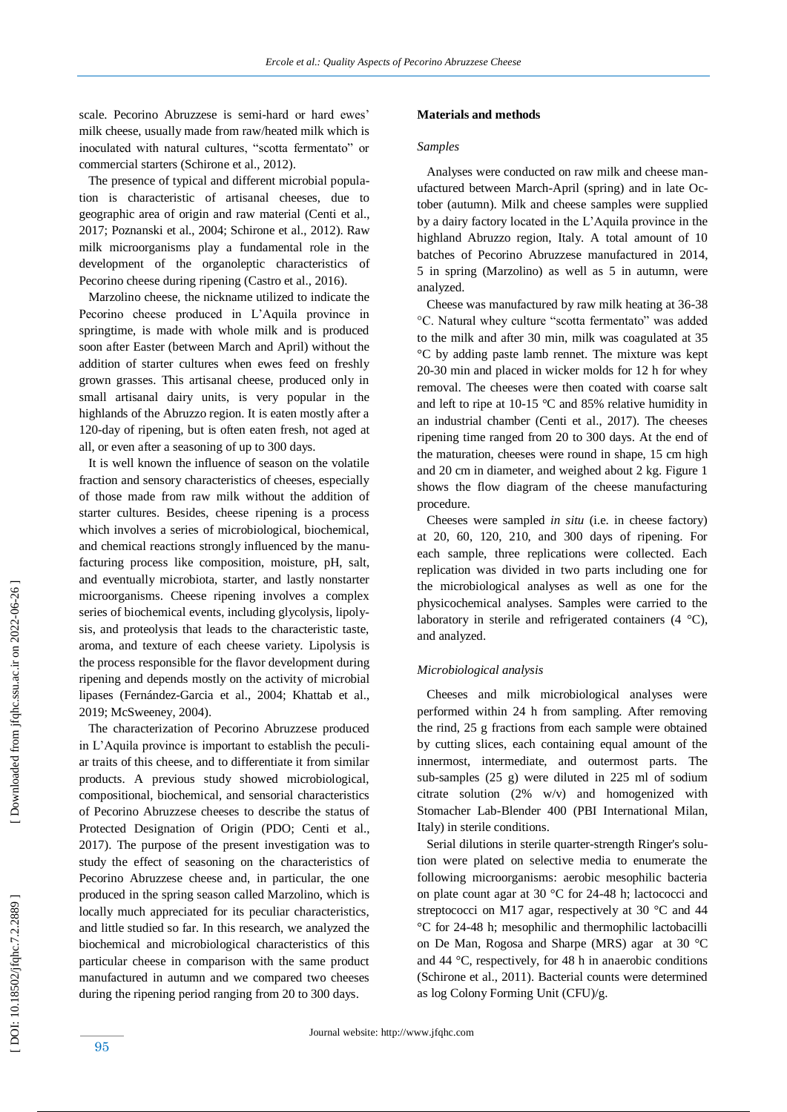scale. Pecorino Abruzzese is semi -hard or hard ewes' milk cheese, usually made from raw /heated milk which is inoculated with natural cultures, "scotta fermentato" or commercial starters (Schirone et al., 2012).

 The presence of typical and different microbial population is characteristic of artisanal cheeses, due to geographic area of origin and raw material (Centi et al., 2017; Poznanski et al., 2004; Schirone et al., 2012). Raw milk microorganisms play a fundamental role in the development of the organoleptic characteristics of Pecorino cheese during ripening (Castro et al., 2016).

 Marzolino cheese, the nickname utilized to indicate the Pecorino cheese produced in L'Aquila province in springtime, is made with whole milk and is produced soon after Easter (between March and April) without the addition of starter cultures when ewes feed on freshly grown grasses. This artisanal cheese, produced only in small artisanal dairy units, is very popular in the highlands of the Abruzzo region. It is eaten mostly after a 120 -day of ripening, but is often eaten fresh, not aged at all, or even after a seasoning of up to 300 days.

 It is well known the influence of season on the volatile fraction and sensory characteristics of cheeses, especially of those made from raw milk without the addition of starter cultures. Besides, cheese ripening is a process which involves a series of microbiological, biochemical, and chemical reactions strongly influenced by the manufacturing process like composition, moisture, pH, salt, and eventually microbiota, starter, and lastly nonstarter microorganisms. Cheese ripening involves a complex series of biochemical events, including glycolysis, lipolysis, and proteolysis that leads to the characteristic taste, aroma, and texture of each cheese variety. Lipolysis is the process responsible for the flavor development during ripening and depends mostly on the activity of microbial lipases (Fernández -Garcia et al., 2004; Khattab et al., 2019; McSweeney, 2004 ) .

 The characterization of Pecorino Abruzzese produced in L'Aquila province is important to establish the peculiar traits of this cheese, and to differentiate it from similar products. A previous study showed microbiological, compositional, biochemical, and sensorial characteristics of Pecorino Abruzzese cheeses to describe the status of Protected Designation of Origin (PDO; Centi et al., 2017). The purpose of the present investigation was to study the effect of seasoning on the characteristics of Pecorino Abruzzese cheese and, in particular, the one produced in the spring season called Marzolino, which is locally much appreciated for its peculiar characteristics, and little studied so far. In this research, we analyzed the biochemical and microbiological characteristics of this particular cheese in comparison with the same product manufactured in autumn and we compared two cheeses during the ripening period ranging from 20 to 300 days.

#### **Materials and methods**

#### *Samples*

 Analyses were conducted on raw milk and cheese manufactured between March-April (spring) and in late October (autumn). Milk and cheese samples were supplied by a dairy factory located in the L'Aquila province in the highland Abruzzo region, Italy. A total amount of 10 batches of Pecorino Abruzzese manufactured in 2014, 5 in spring (Marzolino) as well as 5 in autumn, were analyzed.

 Cheese was manufactured by raw milk heating at 36 -38 °C. Natural whey culture "scotta fermentato" was added to the milk and after 30 min, milk was coagulated at 35 °C by adding paste lamb rennet. The mixture was kept 20 -30 min and placed in wicker molds for 12 h for whey removal. The cheeses were then coated with coarse salt and left to ripe at 10 -15 °C and 85% relative humidity in an industrial chamber (Centi et al., 2017). The cheeses ripening time ranged from 20 to 300 days. At the end of the maturation, cheeses were round in shape, 15 cm high and 20 cm in diameter, and weighed about 2 kg. Figure 1 shows the flow diagram of the cheese manufacturing procedure.

 Cheeses were sampled *in situ* (i.e. in cheese factory) at 20, 60, 120, 210, and 300 days of ripening. For each sample, three replications were collected. Each replication was divided in two parts including one for the microbiological analyses as well as one for the physicochemical analyses. Samples were carried to the laboratory in sterile and refrigerated containers (4 °C), and analyzed.

## *Microbiological analysis*

 Cheeses and milk microbiological analyses were performed within 24 h from sampling. After removing the rind, 25 g fractions from each sample were obtained by cutting slices, each containing equal amount of the innermost, intermediate, and outermost parts. The sub -samples (25 g) were diluted in 225 ml of sodium citrate solution (2% w/v) and homogenized with Stomacher Lab -Blender 400 (PBI International Milan, Italy) in sterile conditions.

 Serial dilutions in sterile quarter -strength Ringer's solution were plated on selective media to enumerate the following microorganisms: aerobic mesophilic bacteria on plate count agar at 30 °C for 24 -48 h; lactococci and streptococci on M17 agar, respectively at 30 °C and 44 °C for 24 -48 h; mesophilic and thermophilic lactobacilli on De Man, Rogosa and Sharpe (MRS) agar at 30 °C and 44 °C, respectively, for 48 h in anaerobic conditions (Schirone et al., 2011). Bacterial counts were determined as log Colony Forming Unit (CFU )/g.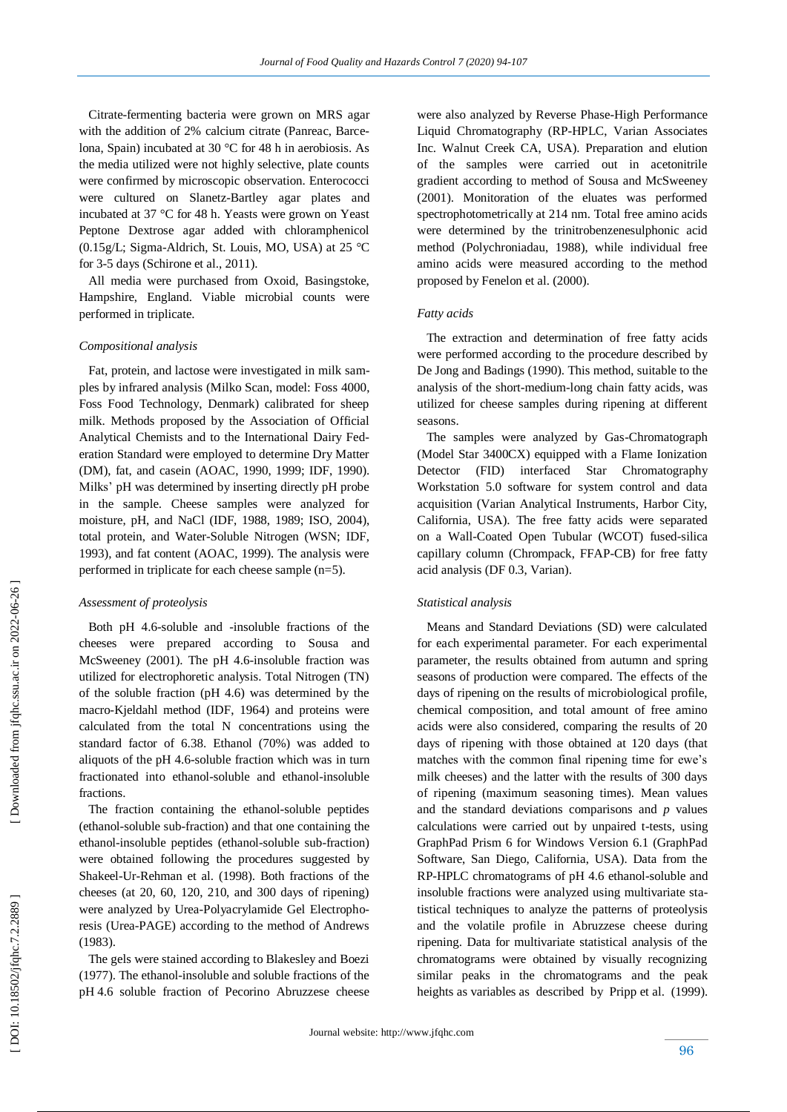Citrate -fermenting bacteria were grown on MRS agar with the addition of 2% calcium citrate (Panreac, Barcelona, Spain) incubated at 30 °C for 48 h in aerobiosis. As the media utilized were not highly selective, plate counts were confirmed by microscopic observation. Enterococci were cultured on Slanetz -Bartley agar plates and incubated at 37 °C for 48 h. Yeasts were grown on Yeast Peptone Dextrose agar added with chloramphenicol (0.15g/L; Sigma -Aldrich, St. Louis, MO, USA) at 25 °C for 3 -5 days (Schirone et al., 2011).

 All media were purchased from Oxoid, Basingstoke, Hampshire, England. Viable microbial counts were performed in triplicate.

#### *Compositional analysis*

 Fat, protein, and lactose were investigated in milk samples by infrared analysis (Milko Scan, model: Foss 4000, Foss Food Technology, Denmark) calibrated for sheep milk. Methods proposed by the Association of Official Analytical Chemists and to the International Dairy Federation Standard were employed to determine Dry Matter (DM), fat , and casein (AOAC, 1990, 1999; IDF, 1990). Milks' pH was determined by inserting directly pH probe in the sample. Cheese samples were analyzed for moisture, pH, and NaCl (IDF, 1988, 1989; ISO, 2004), total protein, and Water -Soluble Nitrogen (WSN; IDF, 1993), and fat content (AOAC, 1999). The analysis were performed in triplicate for each cheese sample (n=5).

#### *Assessment of proteolysis*

 Both pH 4.6 -soluble and -insoluble fractions of the cheeses were prepared according to Sousa and McSweeney (2001). The pH 4.6 -insoluble fraction was utilized for electrophoretic analysis. Total Nitrogen (TN) of the soluble fraction (pH 4.6) was determined by the macro -Kjeldahl method (IDF , 1964) and proteins were calculated from the total N concentrations using the standard factor of 6.38. Ethanol (70%) was added to aliquots of the pH 4.6 -soluble fraction which was in turn fractionated into ethanol -soluble and ethanol -insoluble fractions.

 The fraction containing the ethanol -soluble peptides (ethanol -soluble sub -fraction) and that one containing the ethanol -insoluble peptides (ethanol -soluble sub -fraction) were obtained following the procedures suggested by Shakeel -Ur -Rehman et al. (1998). Both fractions of the cheeses (at 20, 60, 120, 210, and 300 days of ripening) were analyzed by Urea -Polyacrylamide Gel Electrophoresis (Urea-PAGE) according to the method of Andrews (1983).

 The gels were stained according to Blakesley and Boezi (1977). The ethanol -insoluble and soluble fractions of the pH 4.6 soluble fraction of Pecorino Abruzzese cheese

were also analyzed by Reverse Phase -High Performance Liquid Chromatography (RP -HPLC, Varian Associates Inc. Walnut Creek CA, USA). Preparation and elution of the samples were carried out in acetonitrile gradient according to method of Sousa and McSweeney (2001). Monitoration of the eluates was performed spectrophotometrically at 214 nm. Total free amino acids were determined by the trinitrobenzenesulphonic acid method (Polychroniadau, 1988), while individual free amino acids were measured according to the method proposed by Fenelon et al. (2000).

#### *Fatty acids*

 The extraction and determination of free fatty acids were performed according to the procedure described by De Jong and Badings (1990). This method, suitable to the analysis of the short -medium -long chain fatty acids, was utilized for cheese samples during ripening at different seasons.

 The samples were analyzed by Gas -Chromatograph (Model Star 3400CX) equipped with a Flame Ionization Detector (FID) interfaced Star Chromatography Workstation 5.0 software for system control and data acquisition (Varian Analytical Instruments, Harbor City, California, USA). The free fatty acids were separated on a Wall -Coated Open Tubular (WCOT) fused -silica capillary column (Chrompack, FFAP -CB) for free fatty acid analysis (DF 0.3, Varian).

#### *Statistical analysis*

 Means and Standard Deviations (SD) were calculated for each experimental parameter. For each experimental parameter, the results obtained from autumn and spring seasons of production were compared. The effects of the days of ripening on the results of microbiological profile, chemical composition, and total amount of free amino acids were also considered, comparing the results of 20 days of ripening with those obtained at 120 days (that matches with the common final ripening time for ewe's milk cheeses) and the latter with the results of 300 days of ripening (maximum seasoning times). Mean values and the standard deviations comparisons and *p* values calculations were carried out by unpaired t -tests, using GraphPad Prism 6 for Windows Version 6.1 (GraphPad Software, San Diego, California, USA). Data from the RP -HPLC chromatograms of pH 4.6 ethanol -soluble and insoluble fractions were analyzed using multivariate statistical techniques to analyze the patterns of proteolysis and the volatile profile in Abruzzese cheese during ripening. Data for multivariate statistical analysis of the chromatograms were obtained by visually recognizing similar peaks in the chromatograms and the peak heights as variables as described by Pripp et al. (1999).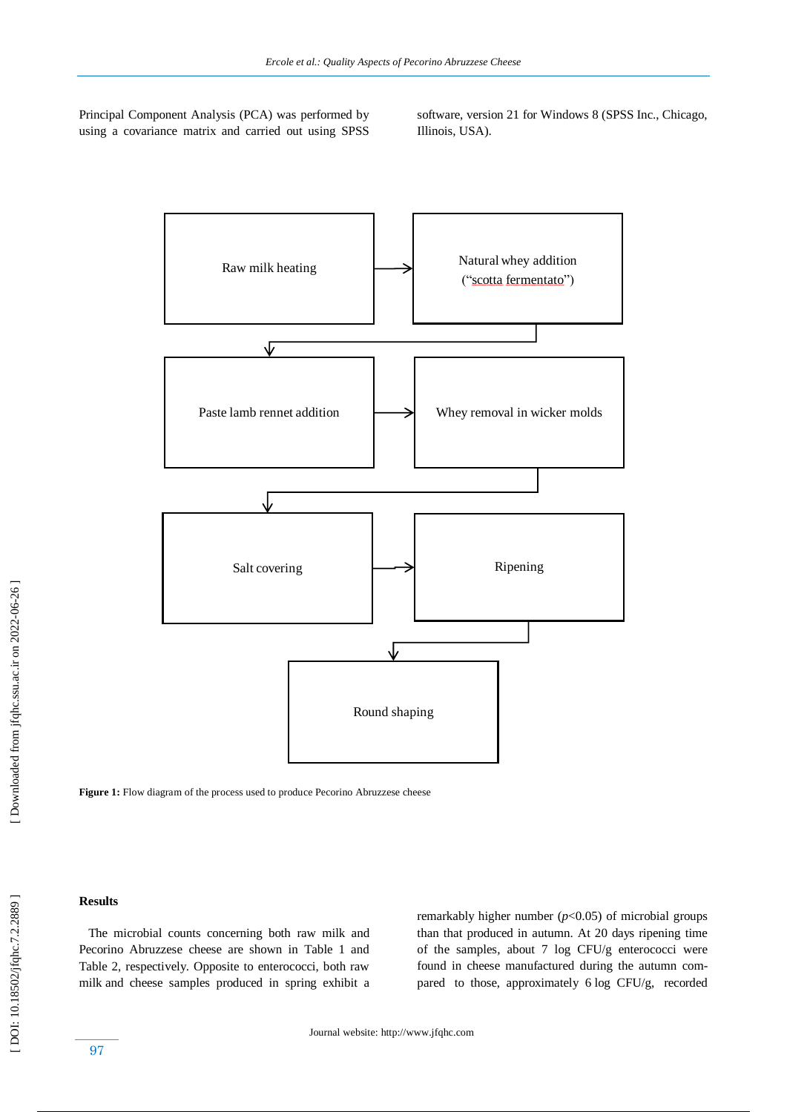Principal Component Analysis (PCA) was performed by using a covariance matrix and carried out using SPSS software, version 21 for Windows 8 (SPSS Inc., Chicago, Illinois, USA).



Figure 1: Flow diagram of the process used to produce Pecorino Abruzzese cheese

#### **Results**

 The microbial counts concerning both raw milk and Pecorino Abruzzese cheese are shown in Table 1 and Table 2, respectively. Opposite to enterococci, both raw milk and cheese samples produced in spring exhibit a remarkably higher number (*p*<0.05) of microbial groups than that produced in autumn. At 20 days ripening time of the samples, about 7 log CFU/g enterococci were found in cheese manufactured during the autumn compared to those, approximately 6 log CFU/g, recorded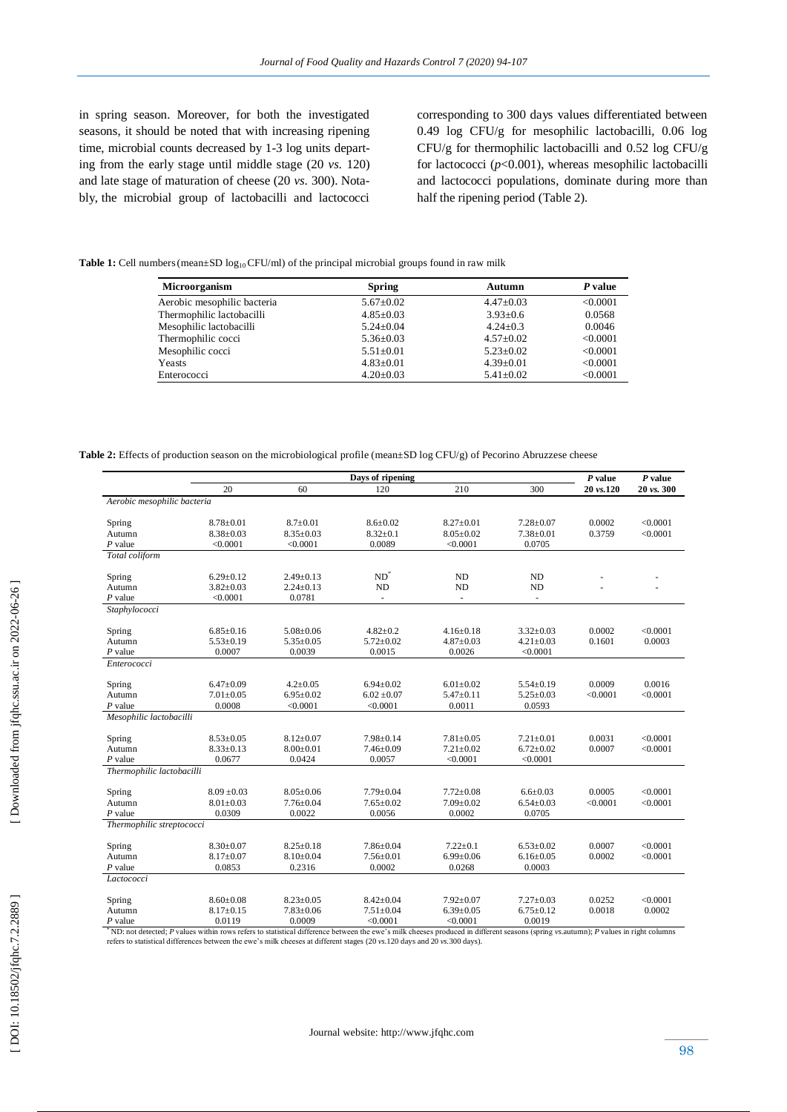in spring season. Moreover, for both the investigated seasons, it should be noted that with increasing ripening time, microbial counts decreased by 1 -3 log units departing from the early stage until middle stage (20 *vs.* 120) and late stage of maturation of cheese (20 *vs.* 300). Notably, the microbial group of lactobacilli and lactococci corresponding to 300 days values differentiated between 0.49 log CFU/g for mesophilic lactobacilli, 0.06 log CFU/g for thermophilic lactobacilli and 0.52 log CFU/g for lactococci (*p*<0.001), whereas mesophilic lactobacilli and lactococci populations, dominate during more than half the ripening period (Table 2).

Table 1: Cell numbers (mean±SD log<sub>10</sub> CFU/ml) of the principal microbial groups found in raw milk

| <b>Microorganism</b>        | <b>Spring</b>   | Autumn          | P value  |  |
|-----------------------------|-----------------|-----------------|----------|--|
| Aerobic mesophilic bacteria | $5.67 \pm 0.02$ | $4.47 \pm 0.03$ | < 0.0001 |  |
| Thermophilic lactobacilli   | $4.85 \pm 0.03$ | $3.93 \pm 0.6$  | 0.0568   |  |
| Mesophilic lactobacilli     | $5.24 + 0.04$   | $4.24 + 0.3$    | 0.0046   |  |
| Thermophilic cocci          | $5.36 \pm 0.03$ | $4.57+0.02$     | < 0.0001 |  |
| Mesophilic cocci            | $5.51 \pm 0.01$ | $5.23 + 0.02$   | < 0.0001 |  |
| Yeasts                      | $4.83 \pm 0.01$ | $4.39 \pm 0.01$ | < 0.0001 |  |
| Enterococci                 | $4.20 \pm 0.03$ | $5.41 \pm 0.02$ | < 0.0001 |  |

Table 2: Effects of production season on the microbiological profile (mean±SD log CFU/g) of Pecorino Abruzzese cheese

|                             | Days of ripening                                                                                                                                                                             |                 |                          |                 |                 | $P$ value | $P$ value  |  |
|-----------------------------|----------------------------------------------------------------------------------------------------------------------------------------------------------------------------------------------|-----------------|--------------------------|-----------------|-----------------|-----------|------------|--|
|                             | 20                                                                                                                                                                                           | 60              | 120                      | 210             | 300             | 20 vs.120 | 20 vs. 300 |  |
| Aerobic mesophilic bacteria |                                                                                                                                                                                              |                 |                          |                 |                 |           |            |  |
| Spring                      | $8.78 \pm 0.01$                                                                                                                                                                              | $8.7 \pm 0.01$  | $8.6 \pm 0.02$           | $8.27 \pm 0.01$ | $7.28 \pm 0.07$ | 0.0002    | < 0.0001   |  |
| Autumn                      | $8.38 \pm 0.03$                                                                                                                                                                              | $8.35 \pm 0.03$ | $8.32 \pm 0.1$           | $8.05 \pm 0.02$ | $7.38 \pm 0.01$ | 0.3759    | < 0.0001   |  |
| P value                     | < 0.0001                                                                                                                                                                                     | < 0.0001        | 0.0089                   | < 0.0001        | 0.0705          |           |            |  |
| Total coliform              |                                                                                                                                                                                              |                 |                          |                 |                 |           |            |  |
| Spring                      | $6.29 \pm 0.12$                                                                                                                                                                              | $2.49 \pm 0.13$ | $ND^*$                   | ND              | ND              |           |            |  |
| Autumn                      | $3.82 \pm 0.03$                                                                                                                                                                              | $2.24 \pm 0.13$ | ND                       | ${\rm ND}$      | <b>ND</b>       |           |            |  |
| $P$ value                   | < 0.0001                                                                                                                                                                                     | 0.0781          | $\overline{\phantom{a}}$ | ÷.              | ÷               |           |            |  |
| Staphylococci               |                                                                                                                                                                                              |                 |                          |                 |                 |           |            |  |
| Spring                      | $6.85 \pm 0.16$                                                                                                                                                                              | $5.08 \pm 0.06$ | $4.82 \pm 0.2$           | $4.16 \pm 0.18$ | $3.32 \pm 0.03$ | 0.0002    | < 0.0001   |  |
| Autumn                      | $5.53 \pm 0.19$                                                                                                                                                                              | $5.35 \pm 0.05$ | $5.72 \pm 0.02$          | $4.87 \pm 0.03$ | $4.21 \pm 0.03$ | 0.1601    | 0.0003     |  |
| P value                     | 0.0007                                                                                                                                                                                       | 0.0039          | 0.0015                   | 0.0026          | < 0.0001        |           |            |  |
| Enterococci                 |                                                                                                                                                                                              |                 |                          |                 |                 |           |            |  |
| Spring                      | $6.47 \pm 0.09$                                                                                                                                                                              | $4.2 \pm 0.05$  | $6.94 \pm 0.02$          | $6.01 \pm 0.02$ | $5.54 \pm 0.19$ | 0.0009    | 0.0016     |  |
| Autumn                      | $7.01 \pm 0.05$                                                                                                                                                                              | $6.95 \pm 0.02$ | $6.02 \pm 0.07$          | $5.47 \pm 0.11$ | $5.25 \pm 0.03$ | < 0.0001  | < 0.0001   |  |
| $P$ value                   | 0.0008                                                                                                                                                                                       | < 0.0001        | < 0.0001                 | 0.0011          | 0.0593          |           |            |  |
| Mesophilic lactobacilli     |                                                                                                                                                                                              |                 |                          |                 |                 |           |            |  |
| Spring                      | $8.53 \pm 0.05$                                                                                                                                                                              | $8.12 \pm 0.07$ | $7.98 \pm 0.14$          | $7.81 \pm 0.05$ | $7.21 \pm 0.01$ | 0.0031    | < 0.0001   |  |
| Autumn                      | $8.33 \pm 0.13$                                                                                                                                                                              | $8.00 \pm 0.01$ | $7.46 \pm 0.09$          | $7.21 \pm 0.02$ | $6.72 \pm 0.02$ | 0.0007    | < 0.0001   |  |
| $P$ value                   | 0.0677                                                                                                                                                                                       | 0.0424          | 0.0057                   | < 0.0001        | < 0.0001        |           |            |  |
| Thermophilic lactobacilli   |                                                                                                                                                                                              |                 |                          |                 |                 |           |            |  |
| Spring                      | $8.09 \pm 0.03$                                                                                                                                                                              | $8.05 \pm 0.06$ | $7.79 \pm 0.04$          | $7.72 \pm 0.08$ | $6.6 \pm 0.03$  | 0.0005    | < 0.0001   |  |
| Autumn                      | $8.01 \pm 0.03$                                                                                                                                                                              | $7.76 \pm 0.04$ | $7.65 \pm 0.02$          | $7.09 \pm 0.02$ | $6.54 \pm 0.03$ | < 0.0001  | < 0.0001   |  |
| $P$ value                   | 0.0309                                                                                                                                                                                       | 0.0022          | 0.0056                   | 0.0002          | 0.0705          |           |            |  |
| Thermophilic streptococci   |                                                                                                                                                                                              |                 |                          |                 |                 |           |            |  |
| Spring                      | $8.30 \pm 0.07$                                                                                                                                                                              | $8.25 \pm 0.18$ | $7.86 \pm 0.04$          | $7.22 \pm 0.1$  | $6.53 \pm 0.02$ | 0.0007    | < 0.0001   |  |
| Autumn                      | $8.17 \pm 0.07$                                                                                                                                                                              | $8.10 \pm 0.04$ | $7.56 \pm 0.01$          | $6.99 \pm 0.06$ | $6.16 \pm 0.05$ | 0.0002    | < 0.0001   |  |
| P value                     | 0.0853                                                                                                                                                                                       | 0.2316          | 0.0002                   | 0.0268          | 0.0003          |           |            |  |
| Lactococci                  |                                                                                                                                                                                              |                 |                          |                 |                 |           |            |  |
| Spring                      | $8.60 \pm 0.08$                                                                                                                                                                              | $8.23 \pm 0.05$ | $8.42 \pm 0.04$          | $7.92 \pm 0.07$ | $7.27 \pm 0.03$ | 0.0252    | < 0.0001   |  |
| Autumn                      | $8.17 \pm 0.15$                                                                                                                                                                              | $7.83 \pm 0.06$ | $7.51 \pm 0.04$          | $6.39 \pm 0.05$ | $6.75 \pm 0.12$ | 0.0018    | 0.0002     |  |
| $P$ value                   | 0.0119<br>ND; not detected; P values within rows refers to statistical difference between the ewe's milk cheeses produced in different seasons (spring ws autumn); P values in right columns | 0.0009          | < 0.0001                 | < 0.0001        | 0.0019          |           |            |  |

<sup>\*</sup> ND: not detected; *P* values within rows refers to statistical difference between the ewe's milk cheeses produced in different seasons (spring *vs.autumn)*;<br>refers to statistical differences between the ewe's milk chee *P* values in right columns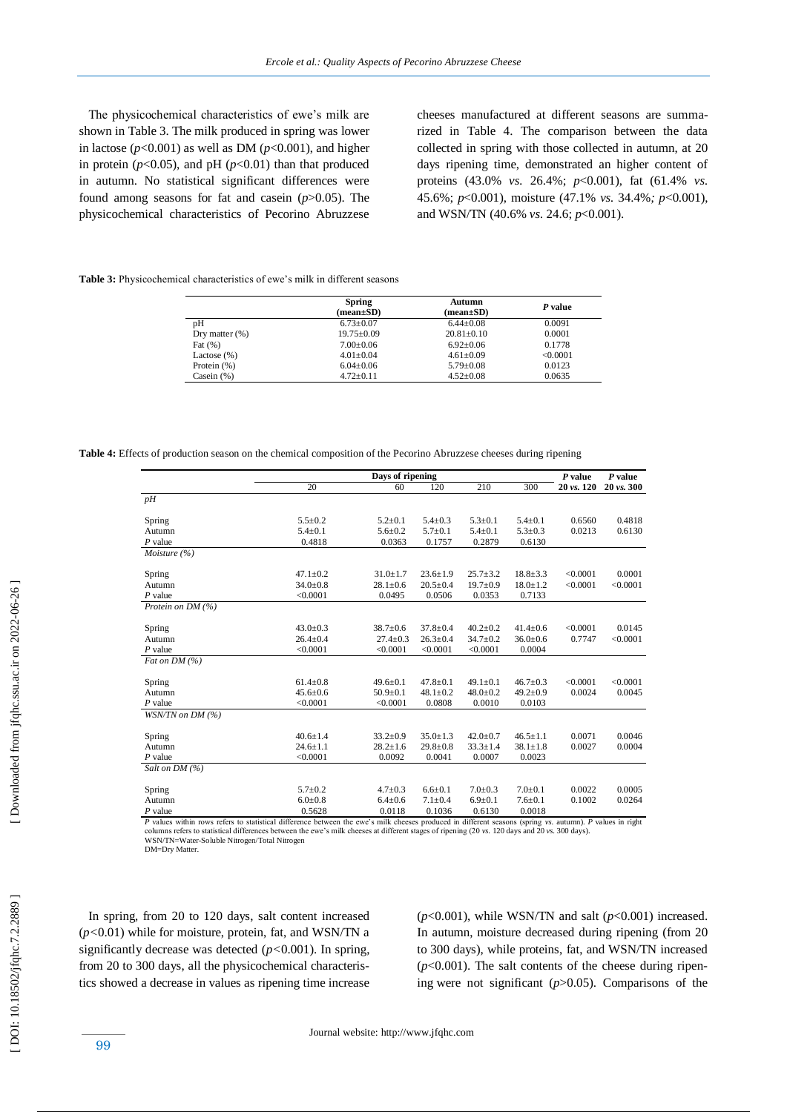The physicochemical characteristics of ewe's milk are shown in Table 3. The milk produced in spring was lower in lactose ( $p$ <0.001) as well as DM ( $p$ <0.001), and higher in protein ( $p$ <0.05), and pH ( $p$ <0.01) than that produced in autumn. No statistical significant differences were found among seasons for fat and casein (*p*>0.05). The physicochemical characteristics of Pecorino Abruzzese cheeses manufactured at different seasons are summarized in Table 4. The comparison between the data collected in spring with those collected in autumn, at 20 days ripening time, demonstrated an higher content of proteins (43.0% *vs.* 26.4%; *p*<0.001), fat (61.4% *vs.*  45.6%; *p*<0.001), moisture (47.1% *vs.* 34.4%*; p*<0.001), and WSN/TN (40.6% *vs.* 24.6; *p*<0.001).

**Table 3 :** Physicochemical characteristics of ewe's milk in different seasons

|                   | <b>Spring</b><br>$(\text{mean}\pm S\textbf{D})$ | Autumn<br>$mean \pm SD$ | P value  |  |
|-------------------|-------------------------------------------------|-------------------------|----------|--|
| pН                | $6.73 \pm 0.07$                                 | $6.44 + 0.08$           | 0.0091   |  |
| Dry matter $(\%)$ | $19.75 \pm 0.09$                                | $20.81 \pm 0.10$        | 0.0001   |  |
| Fat $(\%)$        | $7.00 \pm 0.06$                                 | $6.92+0.06$             | 0.1778   |  |
| Lactose $(\%)$    | $4.01 \pm 0.04$                                 | $4.61 \pm 0.09$         | < 0.0001 |  |
| Protein $(\%)$    | $6.04 \pm 0.06$                                 | $5.79 \pm 0.08$         | 0.0123   |  |
| Casein $(% )$     | $4.72 \pm 0.11$                                 | $4.52 \pm 0.08$         | 0.0635   |  |
|                   |                                                 |                         |          |  |

**Table 4:** Effects of production season on the chemical composition of the Pecorino Abruzzese cheeses during ripening

|                   | Days of ripening |                |                |                | $P$ value      | P value               |            |
|-------------------|------------------|----------------|----------------|----------------|----------------|-----------------------|------------|
|                   | 20               | 60             | 120            | 210            | 300            | $20 \text{ vs. } 120$ | 20 vs. 300 |
| pH                |                  |                |                |                |                |                       |            |
| Spring            | $5.5 \pm 0.2$    | $5.2 \pm 0.1$  | $5.4 \pm 0.3$  | $5.3 \pm 0.1$  | $5.4 \pm 0.1$  | 0.6560                | 0.4818     |
| Autumn            | $5.4 \pm 0.1$    | $5.6 \pm 0.2$  | $5.7 \pm 0.1$  | $5.4 \pm 0.1$  | $5.3 \pm 0.3$  | 0.0213                | 0.6130     |
| $P$ value         | 0.4818           | 0.0363         | 0.1757         | 0.2879         | 0.6130         |                       |            |
| Moisture (%)      |                  |                |                |                |                |                       |            |
| Spring            | $47.1 \pm 0.2$   | $31.0 \pm 1.7$ | $23.6 \pm 1.9$ | $25.7 \pm 3.2$ | $18.8 \pm 3.3$ | < 0.0001              | 0.0001     |
| Autumn            | $34.0 + 0.8$     | $28.1 \pm 0.6$ | $20.5 \pm 0.4$ | $19.7 \pm 0.9$ | $18.0 \pm 1.2$ | < 0.0001              | < 0.0001   |
| $P$ value         | < 0.0001         | 0.0495         | 0.0506         | 0.0353         | 0.7133         |                       |            |
| Protein on DM (%) |                  |                |                |                |                |                       |            |
| Spring            | $43.0 \pm 0.3$   | $38.7 \pm 0.6$ | $37.8 \pm 0.4$ | $40.2 \pm 0.2$ | $41.4 \pm 0.6$ | < 0.0001              | 0.0145     |
| Autumn            | $26.4 + 0.4$     | $27.4 \pm 0.3$ | $26.3 \pm 0.4$ | $34.7 \pm 0.2$ | $36.0 \pm 0.6$ | 0.7747                | < 0.0001   |
| $P$ value         | < 0.0001         | < 0.0001       | < 0.0001       | < 0.0001       | 0.0004         |                       |            |
| Fat on DM (%)     |                  |                |                |                |                |                       |            |
| Spring            | $61.4 \pm 0.8$   | $49.6 \pm 0.1$ | $47.8 \pm 0.1$ | $49.1 \pm 0.1$ | $46.7 \pm 0.3$ | < 0.0001              | < 0.0001   |
| Autumn            | $45.6 \pm 0.6$   | $50.9 \pm 0.1$ | $48.1 \pm 0.2$ | $48.0 \pm 0.2$ | $49.2 \pm 0.9$ | 0.0024                | 0.0045     |
| $P$ value         | < 0.0001         | < 0.0001       | 0.0808         | 0.0010         | 0.0103         |                       |            |
| WSN/TN on DM (%)  |                  |                |                |                |                |                       |            |
| Spring            | $40.6 \pm 1.4$   | $33.2 \pm 0.9$ | $35.0 \pm 1.3$ | $42.0 \pm 0.7$ | $46.5 \pm 1.1$ | 0.0071                | 0.0046     |
| Autumn            | $24.6 \pm 1.1$   | $28.2 \pm 1.6$ | $29.8 \pm 0.8$ | $33.3 \pm 1.4$ | $38.1 \pm 1.8$ | 0.0027                | 0.0004     |
| $P$ value         | < 0.0001         | 0.0092         | 0.0041         | 0.0007         | 0.0023         |                       |            |
| Salt on $DM(%)$   |                  |                |                |                |                |                       |            |
| Spring            | $5.7 \pm 0.2$    | $4.7 \pm 0.3$  | $6.6{\pm}0.1$  | $7.0 \pm 0.3$  | $7.0 \pm 0.1$  | 0.0022                | 0.0005     |
| Autumn            | $6.0{\pm}0.8$    | $6.4 \pm 0.6$  | $7.1 \pm 0.4$  | $6.9 \pm 0.1$  | $7.6 \pm 0.1$  | 0.1002                | 0.0264     |
| $P$ value         | 0.5628           | 0.0118         | 0.1036         | 0.6130         | 0.0018         |                       |            |

WSN/TN=Water -Soluble Nitrogen/Total Nitrogen

DM=Dry Matter.

 In spring, from 20 to 120 days , salt content increased (*p<*0.01) while for moisture, protein, fat, and WSN/TN a significantly decrease was detected (*p<*0.001). In spring, from 20 to 300 days, all the physicochemical characteristics showed a decrease in values as ripening time increase

(*p*<0.001), while WSN/TN and salt (*p*<0.001) increased. In autumn, moisture decreased during ripening (from 20 to 300 days), while proteins, fat, and WSN/TN increased (*p*<0.001). The salt contents of the cheese during ripening were not significant (*p*>0.05). Comparisons of the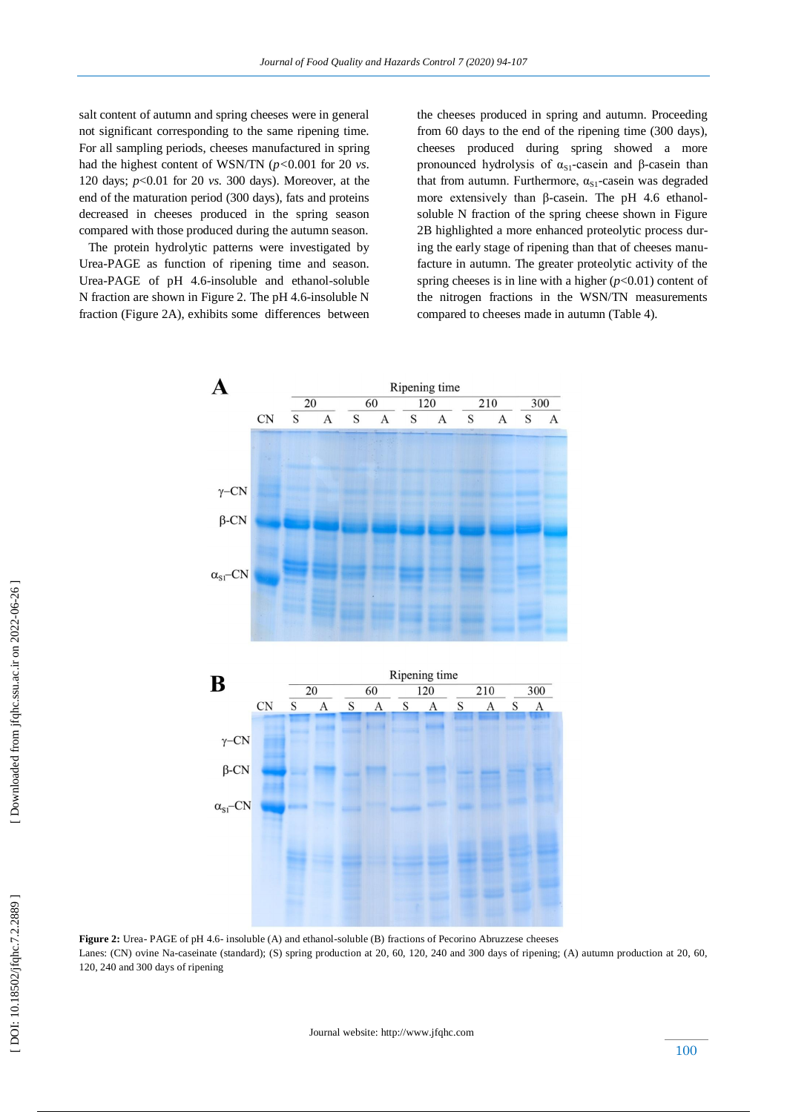salt content of autumn and spring cheeses were in general not significant corresponding to the same ripening time. For all sampling periods, cheeses manufactured in spring had the highest content of WSN/TN (*p<*0.001 for 20 *vs.*  120 days; *p*<0.01 for 20 *vs.* 300 days). Moreover, at the end of the maturation period (300 days), fats and proteins decreased in cheeses produced in the spring season compared with those produced during the autumn season.

 The protein hydrolytic patterns were investigated by Urea -PAGE as function of ripening time and season. Urea-PAGE of pH 4.6-insoluble and ethanol-soluble N fraction are shown in Figure 2. The pH 4.6-insoluble N fraction (Figure 2A), exhibits some differences between

the cheeses produced in spring and autumn. Proceeding from 60 days to the end of the ripening time (300 days), cheeses produced during spring showed a more pronounced hydrolysis of  $α<sub>SI</sub>$ -casein and β-casein than that from autumn. Furthermore,  $\alpha_{S1}$ -casein was degraded more extensively than β-casein. The pH 4.6 ethanolsoluble N fraction of the spring cheese shown in Figure 2B highlighted a more enhanced proteolytic process during the early stage of ripening than that of cheeses manufacture in autumn. The greater proteolytic activity of the spring cheeses is in line with a higher  $(p<0.01)$  content of the nitrogen fractions in the WSN/TN measurements compared to cheeses made in autumn (Table 4).



Figure 2: Urea-PAGE of pH 4.6- insoluble (A) and ethanol-soluble (B) fractions of Pecorino Abruzzese cheeses Lanes: (CN) ovine Na -caseinate (standard); (S) spring production at 20, 60, 120, 240 and 300 days of ripening; (A) autumn production at 20, 60, 120, 240 and 300 days of ripening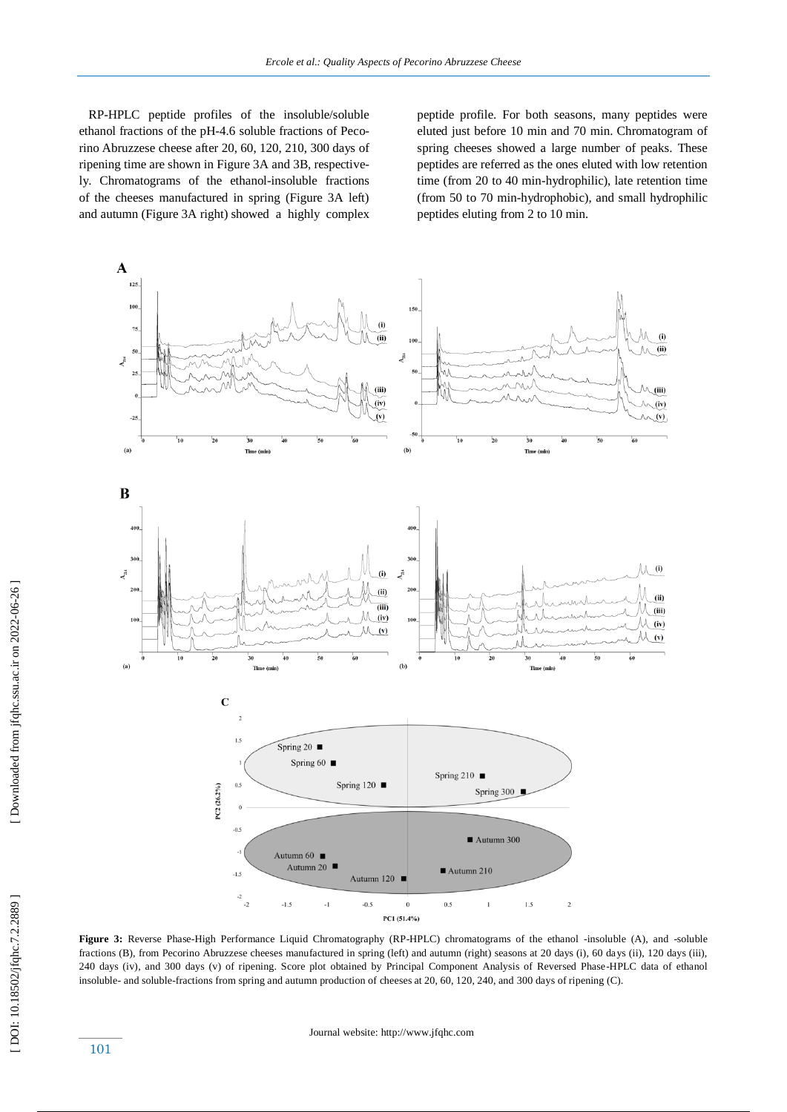RP -HPLC peptide profiles of the insoluble/soluble ethanol fractions of the pH -4.6 soluble fractions of Pecorino Abruzzese cheese after 20, 60, 120, 210, 300 days of ripening time are shown in Figure 3A and 3B, respectively. Chromatograms of the ethanol-insoluble fractions of the cheeses manufactured in spring (Figure 3A left) and autumn (Figure 3A right) showed a highly complex

peptide profile. For both seasons, many peptides were eluted just before 10 min and 70 min. Chromatogram of spring cheeses showed a large number of peaks. These peptides are referred as the ones eluted with low retention time (from 20 to 40 min -hydrophilic), late retention time (from 50 to 70 min -hydrophobic) , and small hydrophilic peptides eluting from 2 to 10 min.



Figure 3: Reverse Phase-High Performance Liquid Chromatography (RP-HPLC) chromatograms of the ethanol -insoluble (A), and -soluble fractions (B), from Pecorino Abruzzese cheeses manufactured in spring (left) and autumn (right) seasons at 20 days (i), 60 days (ii), 120 days (iii), 240 days (iv), and 300 days (v) of ripening. Score plot obtained by Principal Component Analysis of Reversed Phase -HPLC data of ethanol insoluble - and soluble -fractions from spring and autumn production of cheeses at 20, 60, 120, 240, and 300 days of ripening (C).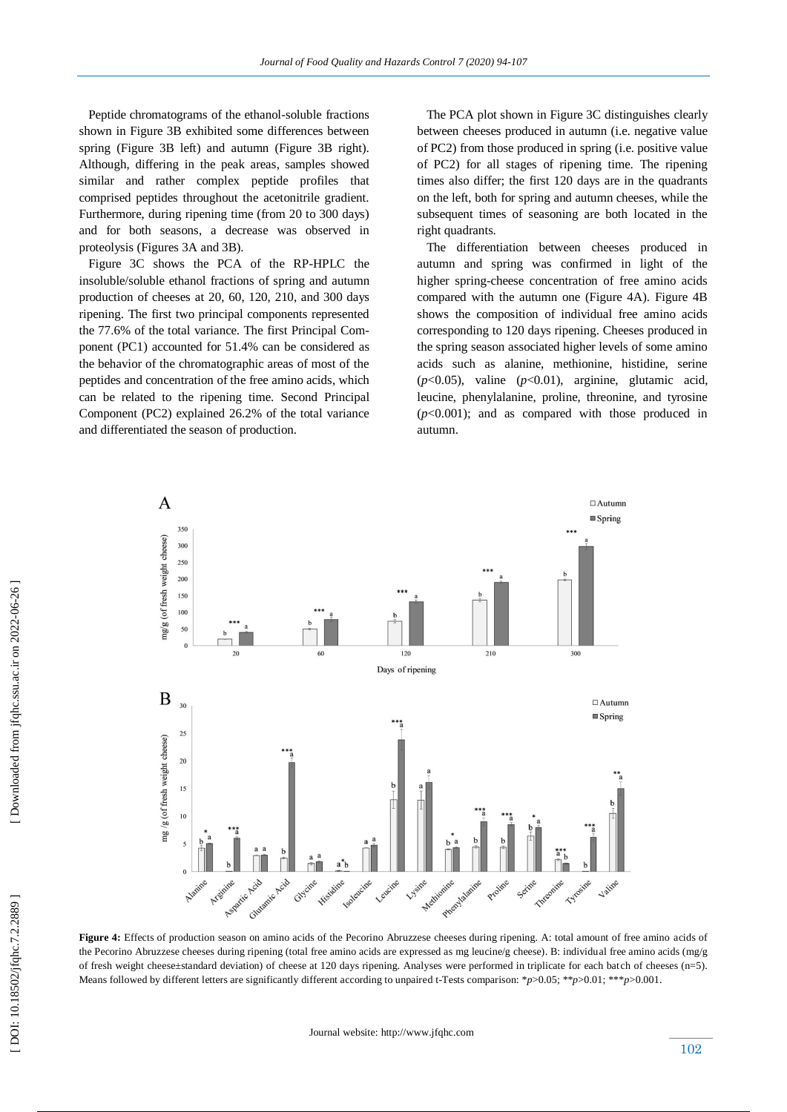Peptide chromatograms of the ethanol -soluble fractions shown in Figure 3B exhibited some differences between spring (Figure 3B left) and autumn (Figure 3B right). Although, differing in the peak areas, samples showed similar and rather complex peptide profiles that comprised peptides throughout the acetonitrile gradient. Furthermore, during ripening time (from 20 to 300 days) and for both seasons, a decrease was observed in proteolysis (Figures 3A and 3B).

 Figure 3C shows the PCA of the RP -HPLC the insoluble/soluble ethanol fractions of spring and autumn production of cheeses at 20, 60, 120, 210, and 300 days ripening. The first two principal components represented the 77.6% of the total variance. The first Principal Component (PC1) accounted for 51.4% can be considered as the behavior of the chromatographic areas of most of the peptides and concentration of the free amino acids, which can be related to the ripening time. Second Principal Component (PC2) explained 26.2% of the total variance and differentiated the season of production.

 The PCA plot shown in Figure 3C distinguishes clearly between cheeses produced in autumn (i.e. negative value of PC2) from those produced in spring (i.e. positive value of PC2) for all stages of ripening time. The ripening times also differ; the first 120 days are in the quadrants on the left, both for spring and autumn cheeses, while the subsequent times of seasoning are both located in the right quadrants.

 The differentiation between cheeses produced in autumn and spring was confirmed in light of the higher spring -cheese concentration of free amino acids compared with the autumn one (Figure 4A). Figure 4B shows the composition of individual free amino acids corresponding to 120 days ripening. Cheeses produced in the spring season associated higher levels of some amino acids such as alanine, methionine, histidine, serine (*p*<0.05), valine (*p*<0.01), arginine, glutamic acid, leucine, phenylalanine, proline, threonine, and tyrosine (*p*<0.001); and as compared with those produced in autumn.



**Figure 4:** Effects of production season on amino acids of the Pecorino Abruzzese cheeses during ripening. A: total amount of free amino acids of the Pecorino Abruzzese cheeses during ripening (total free amino acids are expressed as mg leucine/g cheese). B: individual free amino acids (mg/g of fresh weight cheese±standard deviation) of cheese at 120 days ripening. Analyses were performed in triplicate for each bat ch of cheeses (n=5). Means followed by different letters are significantly different according to unpaired t -Tests comparison: \**p*>0.05; \*\**p*>0.01; \*\*\**p*>0.001.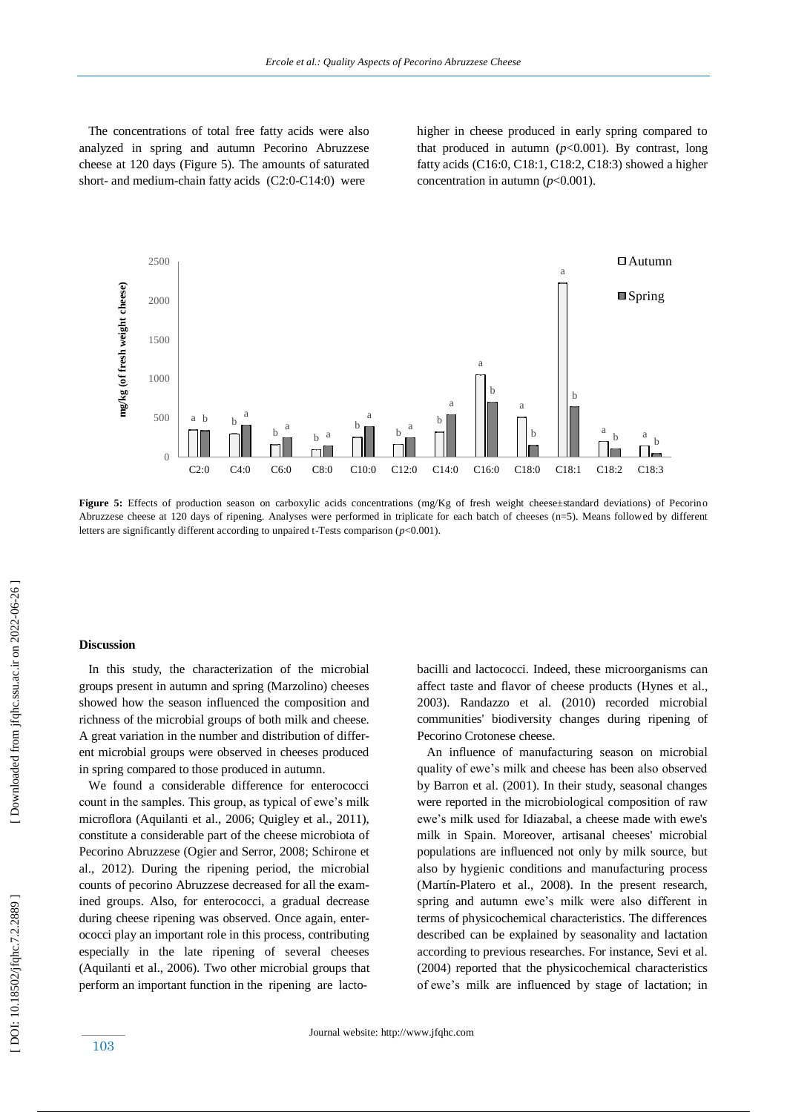The concentrations of total free fatty acids were also analyzed in spring and autumn Pecorino Abruzzese cheese at 120 days (Figure 5). The amounts of saturated short- and medium-chain fatty acids (C2:0-C14:0) were

higher in cheese produced in early spring compared to that produced in autumn  $(p<0.001)$ . By contrast, long fatty acids (C16:0, C18:1, C18:2, C18:3) showed a higher concentration in autumn (*p*<0.001).



**Figure 5:** Effects of production season on carboxylic acids concentrations (mg/Kg of fresh weight cheese±standard deviations) of Pecorino Abruzzese cheese at 120 days of ripening. Analyses were performed in triplicate for each batch of cheeses (n=5). Means followed by different letters are significantly different according to unpaired t -Tests comparison (*p*<0.001).

#### **Discussion**

 In this study, the characterization of the microbial groups present in autumn and spring (Marzolino) cheeses showed how the season influenced the composition and richness of the microbial groups of both milk and cheese. A great variation in the number and distribution of different microbial groups were observed in cheeses produced in spring compared to those produced in autumn.

 We found a considerable difference for enterococci count in the samples. This group, as typical of ewe's milk microflora (Aquilanti et al., 2006; Quigley et al., 2011), constitute a considerable part of the cheese microbiota of Pecorino Abruzzese (Ogier and Serror, 2008; Schirone et al., 2012). During the ripening period, the microbial counts of pecorino Abruzzese decreased for all the examined groups. Also, for enterococci, a gradual decrease during cheese ripening was observed. Once again, enterococci play an important role in this process, contributing especially in the late ripening of several cheeses (Aquilanti et al., 2006). Two other microbial groups that perform an important function in the ripening are lacto -

bacilli and lactococci. Indeed, these microorganisms can affect taste and flavor of cheese products (Hynes et al., 2003). Randazzo et al. (2010) recorded microbial communities' biodiversity changes during ripening of Pecorino Crotonese cheese .

 An influence of manufacturing season on microbial quality of ewe's milk and cheese has been also observed by Barron et al. (2001). In their study, seasonal changes were reported in the microbiological composition of raw ewe's milk used for Idiazabal, a cheese made with ewe's milk in Spain. Moreover, artisanal cheeses' microbial populations are influenced not only by milk source, but also by hygienic conditions and manufacturing process (Martín -Platero et al., 2008). In the present research, spring and autumn ewe's milk were also different in terms of physicochemical characteristics. The differences described can be explained by seasonality and lactation according to previous researches. For instance, Sevi et al. (2004) reported that the physicochemical characteristics of ewe's milk are influenced by stage of lactation; in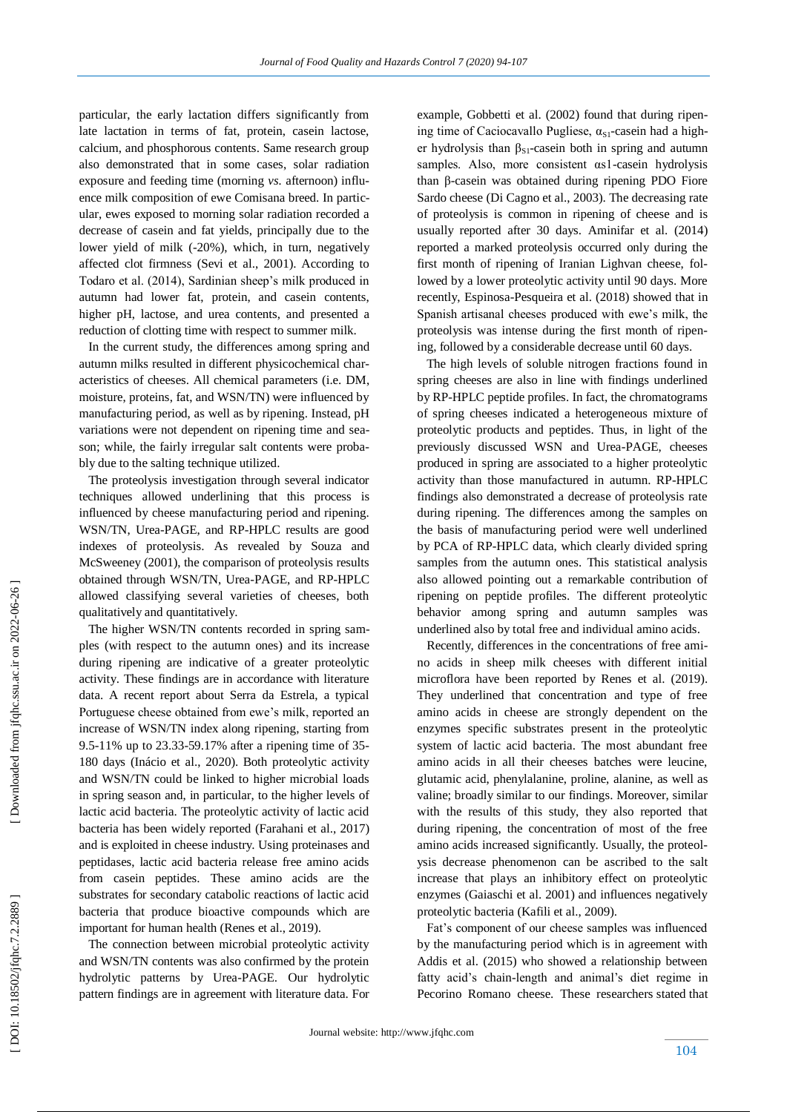particular, the early lactation differs significantly from late lactation in terms of fat, protein, casein lactose, calcium, and phosphorous contents. Same research group also demonstrated that in some cases, solar radiation exposure and feeding time (morning *vs.* afternoon) influence milk composition of ewe Comisana breed. In particular, ewes exposed to morning solar radiation recorded a decrease of casein and fat yields, principally due to the lower yield of milk ( -20%), which, in turn, negatively affected clot firmness (Sevi et al., 2001). According to Todaro et al. (2014), Sardinian sheep's milk produced in autumn had lower fat, protein, and casein contents, higher pH, lactose, and urea contents, and presented a reduction of clotting time with respect to summer milk.

 In the current study, the differences among spring and autumn milks resulted in different physicochemical characteristics of cheeses. All chemical parameters (i.e. DM, moisture, proteins, fat, and WSN/TN) were influenced by manufacturing period, as well as by ripening. Instead, pH variations were not dependent on ripening time and season; while, the fairly irregular salt contents were probably due to the salting technique utilized.

 The proteolysis investigation through several indicator techniques allowed underlining that this process is influenced by cheese manufacturing period and ripening. WSN/TN, Urea -PAGE, and RP -HPLC results are good indexes of proteolysis. As revealed by Souza and McSweeney (2001), the comparison of proteolysis results obtained through WSN/TN, Urea-PAGE, and RP-HPLC allowed classifying several varieties of cheeses, both qualitatively and quantitatively.

 The higher WSN/TN contents recorded in spring samples (with respect to the autumn ones) and its increase during ripening are indicative of a greater proteolytic activity. These findings are in accordance with literature data. A recent report about Serra da Estrela, a typical Portuguese cheese obtained from ewe's milk, reported an increase of WSN/TN index along ripening, starting from 9.5 -11% up to 23.33 -59.17% after a ripening time of 35 - 180 days (Inácio et al., 2020). Both proteolytic activity and WSN/TN could be linked to higher microbial loads in spring season and, in particular, to the higher levels of lactic acid bacteria. The proteolytic activity of lactic acid bacteria has been widely reported (Farahani et al., 2017) and is exploited in cheese industry. Using proteinases and peptidases, lactic acid bacteria release free amino acids from casein peptides. These amino acids are the substrates for secondary catabolic reactions of lactic acid bacteria that produce bioactive compounds which are important for human health (Renes et al., 2019).

 The connection between microbial proteolytic activity and WSN/TN contents was also confirmed by the protein hydrolytic patterns by Urea -PAGE. Our hydrolytic pattern findings are in agreement with literature data. For

example, Gobbetti et al. (2002) found that during ripening time of Caciocavallo Pugliese,  $\alpha_{S1}$ -casein had a higher hydrolysis than  $\beta_{S1}$ -casein both in spring and autumn samples. Also, more consistent αs1 -casein hydrolysis than β -casein was obtained during ripening PDO Fiore Sardo cheese (Di Cagno et al., 2003). The decreasing rate of proteolysis is common in ripening of cheese and is usually reported after 30 days. Aminifar et al. (2014) reported a marked proteolysis occurred only during the first month of ripening of Iranian Lighvan cheese, followed by a lower proteolytic activity until 90 days. More recently, Espinosa -Pesqueira et al. (2018) showed that in Spanish artisanal cheeses produced with ewe's milk, the proteolysis was intense during the first month of ripening, followed by a considerable decrease until 60 days.

 The high levels of soluble nitrogen fractions found in spring cheeses are also in line with findings underlined by RP -HPLC peptide profiles. In fact, the chromatograms of spring cheeses indicated a heterogeneous mixture of proteolytic products and peptides. Thus, in light of the previously discussed WSN and Urea -PAGE, cheeses produced in spring are associated to a higher proteolytic activity than those manufactured in autumn. RP -HPLC findings also demonstrated a decrease of proteolysis rate during ripening. The differences among the samples on the basis of manufacturing period were well underlined by PCA of RP -HPLC data, which clearly divided spring samples from the autumn ones. This statistical analysis also allowed pointing out a remarkable contribution of ripening on peptide profiles. The different proteolytic behavior among spring and autumn samples was underlined also by total free and individual amino acids.

 Recently, differences in the concentrations of free amino acids in sheep milk cheeses with different initial microflora have been reported by Renes et al. (2019). They underlined that concentration and type of free amino acids in cheese are strongly dependent on the enzymes specific substrates present in the proteolytic system of lactic acid bacteria. The most abundant free amino acids in all their cheeses batches were leucine, glutamic acid, phenylalanine, proline, alanine, as well as valine; broadly similar to our findings. Moreover, similar with the results of this study, they also reported that during ripening, the concentration of most of the free amino acids increased significantly. Usually, the proteolysis decrease phenomenon can be ascribed to the salt increase that play s an inhibitory effect on proteolytic enzymes (Gaiaschi et al. 2001) and influence s negatively proteolytic bacteria (Kafili et al., 2009).

 Fat's component of our cheese samples was influenced by the manufacturing period which is in agreement with Addis et al. (2015) who showed a relationship between fatty acid's chain -length and animal's diet regime in Pecorino Romano cheese. These researchers stated that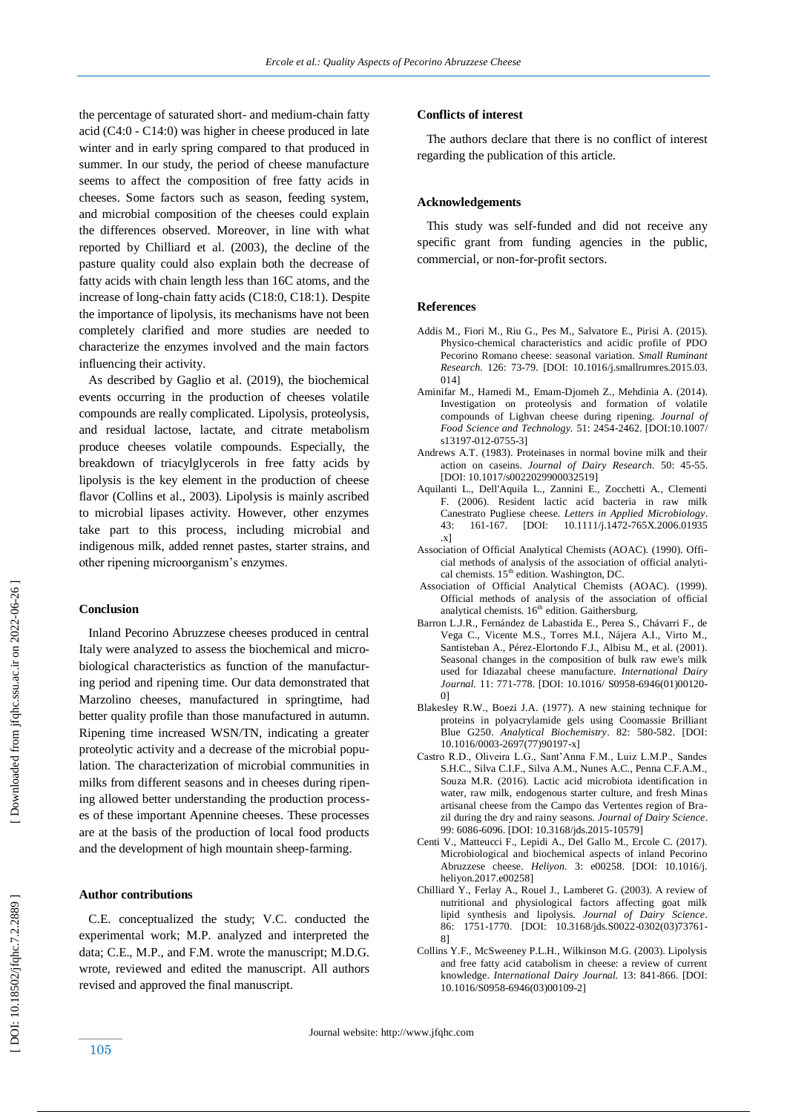the percentage of saturated short- and medium-chain fatty acid (C4:0 - C14:0) was higher in cheese produced in late winter and in early spring compared to that produced in summer. In our study, the period of cheese manufacture seems to affect the composition of free fatty acids in cheeses. Some factors such as season, feeding system, and microbial composition of the cheeses could explain the differences observed. Moreover, in line with what reported by Chilliard et al. (2003), the decline of the pasture quality could also explain both the decrease of fatty acids with chain length less than 16C atoms, and the increase of long -chain fatty acids (C18:0, C18:1). Despite the importance of lipolysis, its mechanisms have not been completely clarified and more studies are needed to characterize the enzymes involved and the main factors influencing their activity.

 As described by Gaglio et al. (2019), the biochemical events occurring in the production of cheeses volatile compounds are really complicated. Lipolysis, proteolysis, and residual lactose, lactate, and citrate metabolism produce cheeses volatile compounds. Especially, the breakdown of triacylglycerols in free fatty acids by lipolysis is the key element in the production of cheese flavor (Collins et al., 2003). Lipolysis is mainly ascribed to microbial lipases activity. However, other enzymes take part to this process, including microbial and indigenous milk, added rennet pastes, starter strains, and other ripening microorganism's enzymes.

## **Conclusion**

 Inland Pecorino Abruzzese cheeses produced in central Italy were analyzed to assess the biochemical and microbiological characteristics as function of the manufacturing period and ripening time. Our data demonstrated that Marzolino cheeses, manufactured in springtime, had better quality profile than those manufactured in autumn. Ripening time increased WSN/TN, indicating a greater proteolytic activity and a decrease of the microbial population. The characterization of microbial communities in milks from different seasons and in cheeses during ripening allowed better understanding the production processes of these important Apennine cheeses. These processes are at the basis of the production of local food products and the development of high mountain sheep -farming.

## **Author contributions**

 C.E. conceptualized the study; V.C. conducted the experimental work; M.P. analyzed and interpreted the data; C.E., M.P., and F.M. wrote the manuscript; M.D.G. wrote, reviewed and edited the manuscript. All authors revised and approved the final manuscript.

#### **Conflicts of interest**

 The authors declare that there is no conflict of interest regarding the publication of this article.

#### **Acknowledgements**

 This study was self-funded and did not receive any specific grant from funding agencies in the public, commercial, or non -for -profit sectors.

#### **Reference s**

- Addis M., Fiori M., Riu G., Pes M., Salvatore E., Pirisi A. (2015). Physico -chemical characteristics and acidic profile of PDO Pecorino Romano cheese: seasonal variation. *Small Ruminant Research.* 126: 73 -79. [DOI: 10.1016/j.smallrumres.2015.03. 014]
- Aminifar M., Hamedi M., Emam -Djomeh Z., Mehdinia A. (2014). Investigation on proteolysis and formation of volatile compounds of Lighvan cheese during ripening. *Journal of Food Science and Technology.* 51: 2454 ‐2462. [DOI:10.1007/ s13197-012-0755-3]
- Andrews A.T. (1983). Proteinases in normal bovine milk and their action on caseins. *Journal of Dairy Research.* 50: 45 -55. [DOI: 10.1017/s0022029900032519]
- Aquilanti L., Dell'Aquila L., Zannini E., Zocchetti A., Clementi F. (2006). [Resident lactic acid bacteria in raw milk](http://refhub.elsevier.com/S2405-8440\(16\)32047-3/sbref0015)  [Canestrato Pugliese cheese.](http://refhub.elsevier.com/S2405-8440\(16\)32047-3/sbref0015) *Letters in Applied Microbiology* .  $43: 161-167.$ -167. [DOI: 10.1111/j.1472 -765X.2006.01935 .x]
- Association of Official Analytical Chemists (AOAC). (1990). Official methods of analysis of the association of official analytical chemists. 15<sup>th</sup> edition. Washington, DC.
- [Association of Official Analytical Chemists \(AOAC\). \(1999\).](http://refhub.elsevier.com/S2405-8440\(16\)32047-3/sbref0020) Official methods of analysis of the [association of](http://refhub.elsevier.com/S2405-8440\(16\)32047-3/sbref0020) officia[l](http://refhub.elsevier.com/S2405-8440\(16\)32047-3/sbref0020) analytical chemists. 16<sup>th</sup> edition. Gaithersburg.
- Barron L.J.R., Fernández de Labastida E., Perea S., Chávarri F., de Vega C., Vicente M.S., Torres M.I., Nájera A.I., Virto M., Santisteban A., Pérez -Elortondo F.J., Albisu M., et al. (2001). Seasonal changes in the composition of bulk raw ewe's milk used for Idiazabal cheese manufacture. *International Dairy*  Journal. 11: 771-778. [DOI: 10.1016/ S0958-6946(01)00120-0]
- Blakesley R.W., Boezi J.A. (1977). A new staining technique for proteins in polyacrylamide gels using Coomassie Brilliant Blue G250. Analytical Biochemistry. 82: 580-582. [DOI: 10.1016/0003 -2697(77)90197 -x]
- Castro R.D., Oliveira L.G., Sant'Anna F.M., Luiz L.M.P., Sandes S.H.C., Silva C.I.F., Silva A.M., Nunes A.C., Penna C.F.A.M., Souza M.R. (2016). Lactic acid microbiota identification in water, raw milk, endogenous starter culture, and fresh Minas artisanal cheese from the Campo das Vertentes region of Brazil during the dry and rainy seasons. *Journal of Dairy Science*. 99: 6086 -6096[. \[DOI: 10.3168/jds.2015](https://doi.org/10.3168/jds.2015-10579) -10579 ]
- Centi V., Matteucci F., Lepidi A., Del Gallo M., Ercole C. (2017). Microbiological and biochemical aspects of inland Pecorino Abruzzese cheese. *Heliyon.* 3: e00258. [DOI: 10.1016/j. heliyon.2017.e00258]
- Chilliard Y., Ferlay A., Rouel J., Lamberet G. (2003). A review of nutritional and physiological factors affecting goat milk lipid synthesis and lipolysis. *Journal of Dairy Science*. 86: 1751-1770. [DOI: 10.3168/jds.S0022-0302(03)73761-8]
- Collins Y.F., McSweeney P.L.H., Wilkinson M.G. (2003). Lipolysis and free fatty acid catabolism in cheese: a review of current knowledge. *International Dairy Journal.* 13: 841 -866. [DOI: 10.1016/S0958 -6946(03)00109 -2]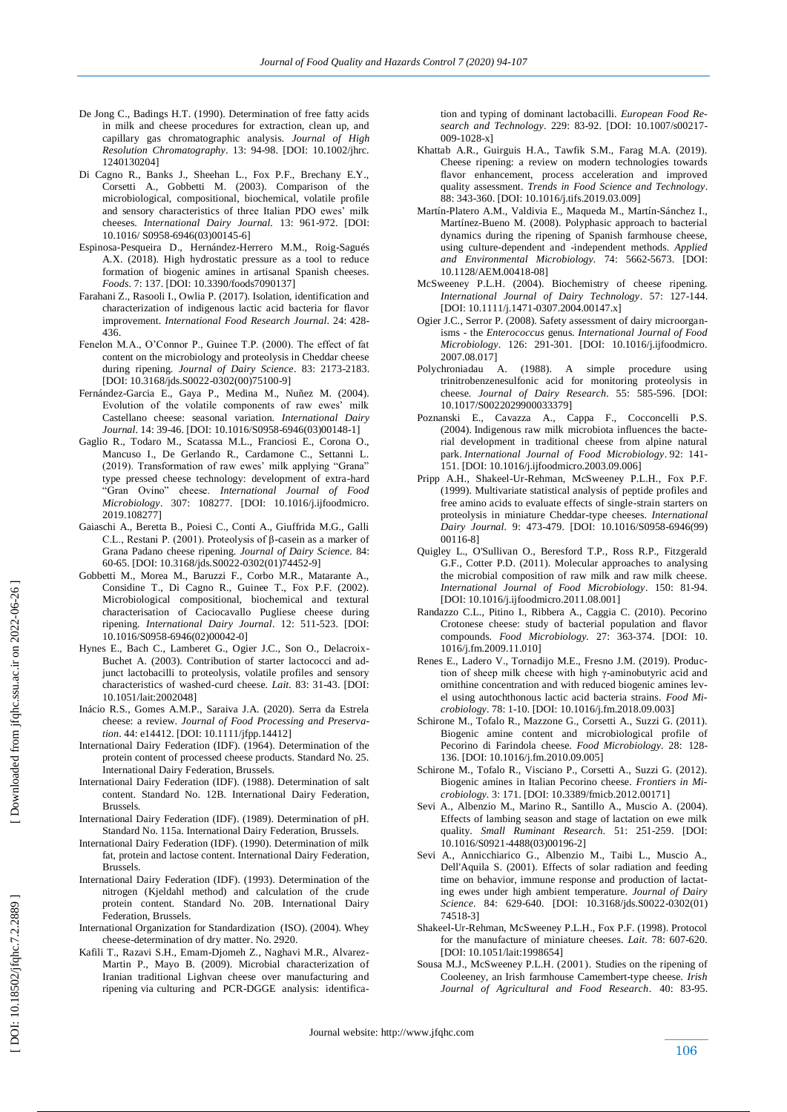- De Jong C., Badings H.T. (1990). Determination of free fatty acids in milk and cheese procedures for extraction, clean up, and capillary gas chromatographic analysis. *Journal of High Resolution Chromatography*. 13: 94 -98. [DOI: 10.1002/jhrc. 1240130204]
- Di Cagno R., Banks J., Sheehan L., Fox P.F., Brechany E.Y., Corsetti A., Gobbetti M. (2003). Comparison of the microbiological, compositional, biochemical, volatile profile and sensory characteristics of three Italian PDO ewes' milk cheeses. *International Dairy Journal.* 13: 961 -972. [DOI: 10.1016/ S0958 -6946(03)00145 -6]
- Espinosa-Pesqueira D., Hernández-Herrero M.M., Roig-Sagués A.X. (2018). High hydrostatic pressure as a tool to reduce formation of biogenic amines in artisanal Spanish cheeses. *Foods*. 7: 137. [DOI: 10.3390/foods7090137]
- Farahani Z., Rasooli I., Owlia P. (2017). Isolation, identification and characterization of indigenous lactic acid bacteria for flavor improvement. *International Food Research Journal*. 24: 428 - 436.
- Fenelon M.A., O'Connor P., Guinee T.P. (2000). The effect of fat content on the microbiology and proteolysis in Cheddar cheese during ripening. *Journal of Dairy Science*. 83: 2173 -2183. [DOI: 10.3168/jds.S0022-0302(00)75100-9]
- Fernández -Garcia E., Gaya P., Medina M., Nuñez M. (2004). Evolution of the volatile components of raw ewes' milk Castellano cheese: seasonal variation. *International Dairy Journal*. 14: 39 -46. [DOI: 10.1016/S0958 -6946(03)00148 -1]
- Gaglio R., Todaro M., Scatassa M.L., Franciosi E., Corona O., Mancuso I., De Gerlando R., Cardamone C., Settanni L. (2019). Transformation of raw ewes' milk applying "Grana" type pressed cheese technology: development of extra -hard "Gran Ovino" cheese. *International Journal of Food Microbiology*. 307: 108277. [DOI: 10.1016/j.ijfoodmicro. 2019.108277]
- Gaiaschi A., Beretta B., Poiesi C., Conti A., Giuffrida M.G., Galli C.L., Restani P. (2001). Proteolysis of β -casein as a marker of Grana Padano cheese ripening. *Journal of Dairy Science.* 84: 60 -65. [DOI: 10.3168/jds.S0022 -0302(01)74452 -9]
- Gobbetti M., Morea M., Baruzzi F., Corbo M.R., Matarante A., Considine T., Di Cagno R., Guinee T., Fox P.F. (2002). Microbiological compositional, biochemical and textural characterisation of Caciocavallo Pugliese cheese during ripening. *International Dairy Journal*. 12: 511 -523. [DOI: 10.1016/S0958 -6946(02)00042 -0]
- Hynes E., Bach C., Lamberet G., Ogier J.C., Son O., Delacroix Buchet A. (2003). Contribution of starter lactococci and adjunct lactobacilli to proteolysis, volatile profiles and sensory characteristics of washed -curd cheese. *Lait.* 83: 31 -43. [DOI: 10.1051/lait:2002048]
- Inácio R.S., Gomes A.M.P., Saraiva J.A. (2020). Serra da Estrela cheese: a review. *Journal of Food Processing and Preservation*. 44: e14412. [DOI: 10.1111/jfpp.14412]
- International Dairy Federation (IDF). (1964). Determination of the protein content of processed cheese products. Standard No. 25. International Dairy Federation, Brussels .
- International Dairy Federation (IDF). (1988). Determination of salt content. Standard No. 12B. International Dairy Federation, Brussels.
- International Dairy Federation (IDF). (1989). Determination of pH. Standard No. 115a. International Dairy Federation, Brussels .
- International Dairy Federation (IDF). (1990). Determination of milk fat, protein and lactose content. International Dairy Federation, Brussels .
- International Dairy Federation (IDF). (1993). Determination of the nitrogen (Kjeldahl method) and calculation of the crude protein content. Standard No. 20B. International Dairy Federation, Brussels.
- International Organization for Standardization [\(ISO\). \(2004\). Whey](http://refhub.elsevier.com/S2405-8440\(16\)32047-3/sbref0145)  cheese [-determination of dry matter](http://refhub.elsevier.com/S2405-8440\(16\)32047-3/sbref0145) . No. 2920.
- Kafili T., Razavi S.H., Emam -Djomeh Z., Naghavi M.R., Alvarez Martin P., Mayo B. (2009). Microbial characterization of Iranian traditional Lighvan cheese over manufacturing and ripening via culturing and PCR -DGGE analysis: identifica-

tion and typing of dominant lactobacilli. *European Food Research and Technology*. 229: 83-92. [DOI: 10.1007/s00217- 009-1028-x]

- Khattab A.R., Guirguis H.A., Tawfik S.M., Farag M.A. (2019). Cheese ripening: a review on modern technologies towards flavor enhancement, process acceleration and improved quality assessment. *Trends in Food Science and Technology*. 88: 343 -360. [DOI: 10.1016/j.tifs.2019.03.009]
- Martín -Platero A.M., Valdivia E., Maqueda M., Martín -Sánchez I., Martínez -Bueno M. (2008). Polyphasic approach to bacterial dynamics during the ripening of Spanish farmhouse cheese, using culture -dependent and -independent methods. *Applied and Environmental Microbiology.* 74: 5662 -5673. [DOI: 10.1128/AEM.00418 -08]
- McSweeney P.L.H. (2004). Biochemistry of cheese ripening. *International Journal of Dairy Technology*. 57: 127 -144. [DOI: 10.1111/j.1471-0307.2004.00147.x]
- Ogier J.C., Serror P. (2008). Safety assessment of dairy microorganisms - the *Enterococcus* genus. *International Journal of Food Microbiology*. 126: 291 -301. [DOI: 10.1016/j.ijfoodmicro. 2007.08.017]
- Polychroniadau A. (1988). A simple procedure using trinitrobenzenesulfonic acid for monitoring proteolysis in cheese. *Journal of Dairy Research*. 55: 585 -596. [DOI: 10.1017/S0022029900033379]
- Poznanski E., Cavazza A., Cappa F., Cocconcelli P.S. (2004). Indigenous raw milk microbiota influences the bacterial development in traditional cheese from alpine natural park. International Journal of Food Microbiology. 92: 141-151. [DOI: 10.1016/j.ijfoodmicro.2003.09.006]
- Pripp A.H., Shakeel -Ur -Rehman, McSweeney P.L.H., Fox P.F. (1999). Multivariate statistical analysis of peptide profiles and free amino acids to evaluate effects of single -strain starters on proteolysis in miniature Cheddar -type cheeses*. International Dairy Journal*. 9: 473 -479. [DOI: 10.1016/S0958 -6946(99) 00116 -8]
- Quigley L., O'Sullivan O., Beresford T.P., Ross R.P., Fitzgerald G.F., Cotter P.D. (2011). Molecular approaches to analysing the microbial composition of raw milk and raw milk cheese. *International Journal of Food Microbiology*. 150: 81 -94. [DOI: 10.1016/j.ijfoodmicro.2011.08.001]
- Randazzo C.L., Pitino I., Ribbera A., Caggia C. (2010). Pecorino Crotonese cheese: study of bacterial population and flavor compounds. *Food Microbiology.* 27: 363 -374. [DOI: 10. 1016/j.fm.2009.11.010]
- Renes E., Ladero V., Tornadijo M.E., Fresno J.M. (2019). Production of sheep milk cheese with high γ-aminobutyric acid and ornithine concentration and with reduced biogenic amines level using autochthonous lactic acid bacteria strains. *Food Microbiology*. 78: 1-10. [DOI: 10.1016/j.fm.2018.09.003]
- [Schirone M., Tofalo R., Mazzone G., Corsetti A., Suzzi G. \(2011\).](http://refhub.elsevier.com/S2405-8440\(16\)32047-3/sbref0255)  [Biogenic](http://refhub.elsevier.com/S2405-8440\(16\)32047-3/sbref0255) amine content and [microbiological profile](http://refhub.elsevier.com/S2405-8440\(16\)32047-3/sbref0255) of Pecorino di Farindola cheese. *Food [Microbiology.](http://refhub.elsevier.com/S2405-8440\(16\)32047-3/sbref0255)* 28: 128 - [13](http://refhub.elsevier.com/S2405-8440\(16\)32047-3/sbref0255) 6 . [DOI: 10.1016/j.fm.2010.09.005]
- Schirone M., Tofalo R., Visciano P., Corsetti A., Suzzi G. (2012). Biogenic amines in Italian Pecorino cheese. *Frontiers in Microbiology.* 3: 171. [DOI: 10.3389/fmicb.2012.00171]
- Sevi A., Albenzio M., Marino R., Santillo A., Muscio A *.* (2004). Effects of lambing season and stage of lactation on ewe milk quality. *Small Ruminant Research.* 51: 251 -259. [DOI: 10.1016/S0921 -4488(03)00196 -2]
- Sevi A., Annicchiarico G., Albenzio M., Taibi L., Muscio A., Dell'Aquila S. (2001). Effects of solar radiation and feeding time on behavior, immune response and production of lactating ewes under high ambient temperature. *Journal of Dairy*  Science. 84: 629-640. [DOI: 10.3168/jds.S0022-0302(01) 74518 -3]
- Shakeel -Ur -Rehman, McSweeney P.L.H., Fox P.F. (1998). Protocol for the manufacture of miniature cheeses. *Lait.* 78: 607 -620. [DOI: 10.1051/lait:1998654]
- Sousa M.J., McSweeney P.L.H. [\(2001\). Studies](http://refhub.elsevier.com/S2405-8440\(16\)32047-3/sbref0290) on the ripening of [Cooleeney](http://refhub.elsevier.com/S2405-8440\(16\)32047-3/sbref0290) , an Irish farmhouse [Camembert](http://refhub.elsevier.com/S2405-8440\(16\)32047-3/sbref0290) -type cheese. *Irish*  [Journal of Agricultural and Food Research](http://refhub.elsevier.com/S2405-8440\(16\)32047-3/sbref0290). 40: 83-95.

DOI: 10.18502/jfqhc.7.2.2889